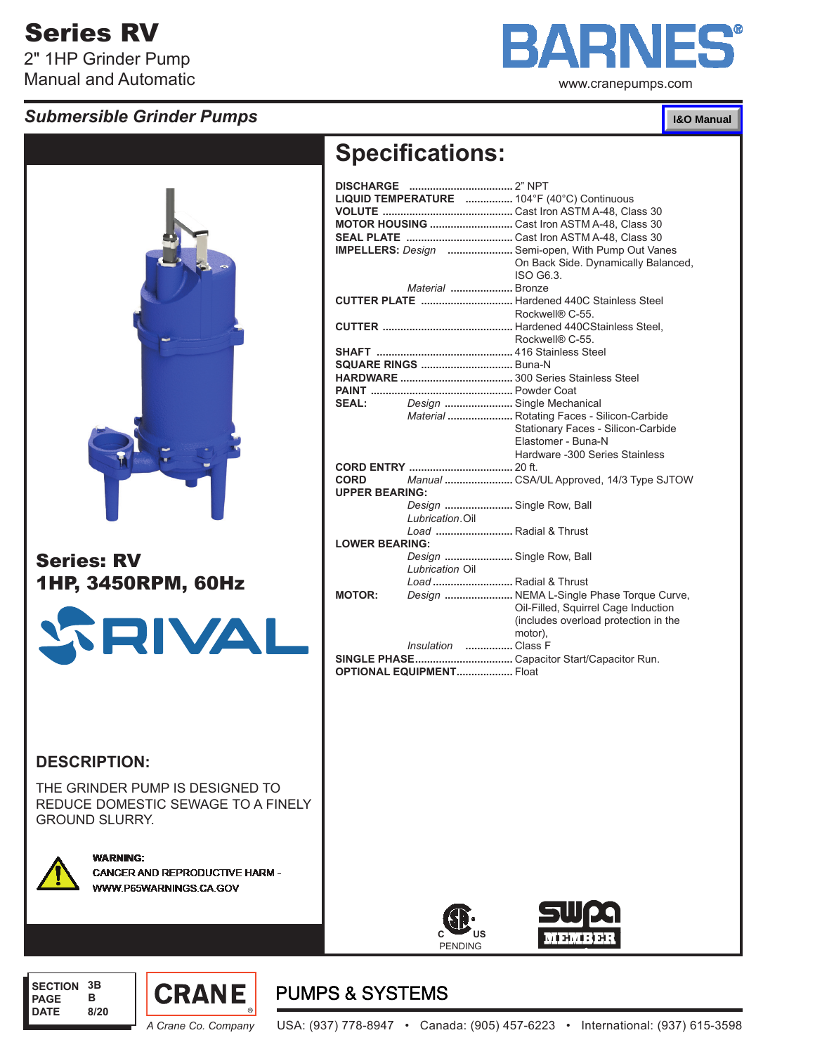# Series RV

2" 1HP Grinder Pump Manual and Automatic

## *Submersible Grinder Pumps*



www.cranepumps.com

#### **I&O Manual**



## Series: RV 1HP, 3450RPM, 60Hz



#### **Specifications: DISCHARGE ...................................** 2" NPT **LIQUID TEMPERATURE ................** 104°F (40°C) Continuous **VOLUTE ............................................** Cast Iron ASTM A-48, Class 30 **MOTOR HOUSING ............................** Cast Iron ASTM A-48, Class 30 **SEAL PLATE ....................................** Cast Iron ASTM A-48, Class 30 **IMPELLERS:** *Design* **......................** Semi-open, With Pump Out Vanes On Back Side. Dynamically Balanced, ISO G6.3. *Material* **.....................** Bronze **CUTTER PLATE ...............................** Hardened 440C Stainless Steel Rockwell® C-55.

|                       |                           | Rockwell® C-55.                               |
|-----------------------|---------------------------|-----------------------------------------------|
|                       |                           |                                               |
|                       |                           |                                               |
|                       |                           |                                               |
|                       |                           |                                               |
| SEAL: <b>SEAL</b>     | Design  Single Mechanical |                                               |
|                       |                           |                                               |
|                       |                           | Material  Rotating Faces - Silicon-Carbide    |
|                       |                           | Stationary Faces - Silicon-Carbide            |
|                       |                           | Elastomer - Buna-N                            |
|                       |                           | Hardware -300 Series Stainless                |
|                       |                           |                                               |
|                       |                           | CORD Manual  CSA/UL Approved, 14/3 Type SJTOW |
| <b>UPPER BEARING:</b> |                           |                                               |
|                       | Design  Single Row, Ball  |                                               |
|                       | Lubrication.Oil           |                                               |
|                       | Load  Radial & Thrust     |                                               |
| <b>LOWER BEARING:</b> |                           |                                               |
|                       | Design  Single Row, Ball  |                                               |
|                       |                           |                                               |
|                       | Lubrication Oil           |                                               |
|                       | Load  Radial & Thrust     |                                               |
| <b>MOTOR:</b>         |                           | Design  NEMA L-Single Phase Torque Curve,     |
|                       |                           | Oil-Filled, Squirrel Cage Induction           |
|                       |                           | (includes overload protection in the          |
|                       |                           | motor).                                       |
|                       | Insulation<br>Class F     |                                               |

**SINGLE PHASE.................................** Capacitor Start/Capacitor Run.

**OPTIONAL EQUIPMENT...................** Float

#### **DESCRIPTION:**

THE GRINDER PUMP IS DESIGNED TO REDUCE DOMESTIC SEWAGE TO A FINELY GROUND SLURRY.



**WARNING: CANCER AND REPRODUCTIVE HARM -**WWW.P65WARNINGS.CA.GOV





#### **SECTION 3B PAGE DATE B 8/20**



# **PUMPS & SYSTEMS**

*A Crane Co. Company* USA: (937) 778-8947 • Canada: (905) 457-6223 • International: (937) 615-3598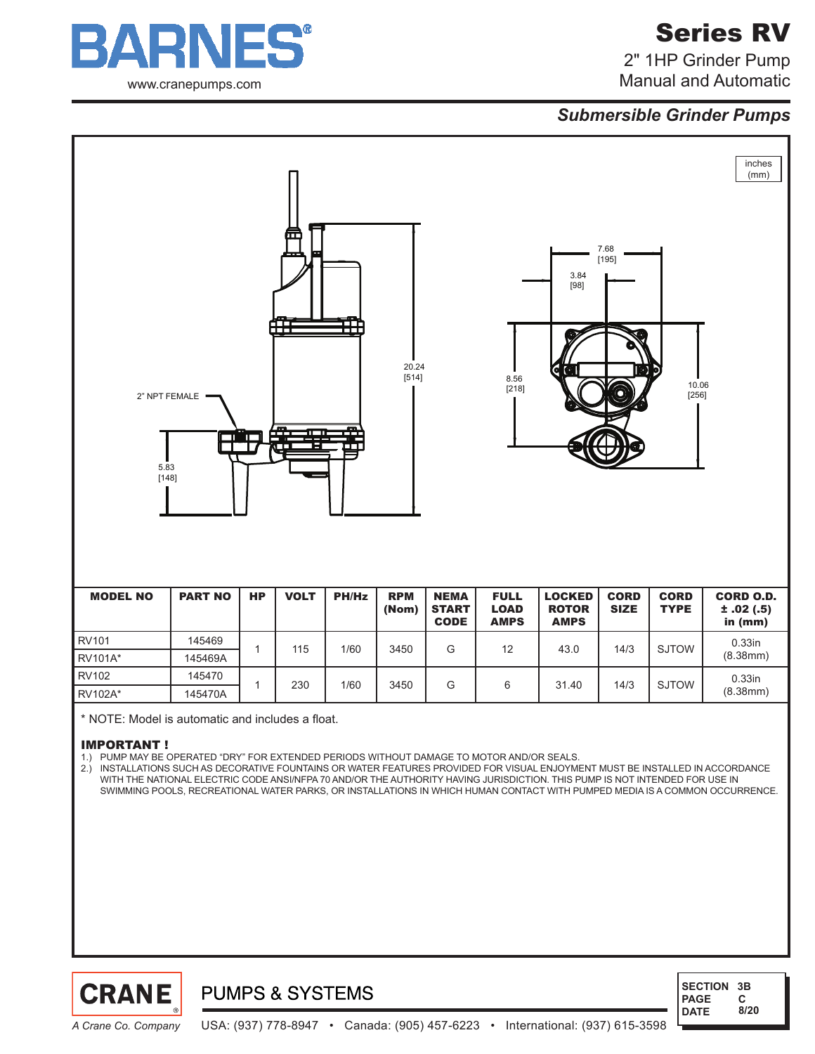

# Series RV

2" 1HP Grinder Pump Manual and Automatic

## *Submersible Grinder Pumps*



#### IMPORTANT !

1.) PUMP MAY BE OPERATED "DRY" FOR EXTENDED PERIODS WITHOUT DAMAGE TO MOTOR AND/OR SEALS.

2.) INSTALLATIONS SUCH AS DECORATIVE FOUNTAINS OR WATER FEATURES PROVIDED FOR VISUAL ENJOYMENT MUST BE INSTALLED IN ACCORDANCE WITH THE NATIONAL ELECTRIC CODE ANSI/NFPA 70 AND/OR THE AUTHORITY HAVING JURISDICTION. THIS PUMP IS NOT INTENDED FOR USE IN SWIMMING POOLS, RECREATIONAL WATER PARKS, OR INSTALLATIONS IN WHICH HUMAN CONTACT WITH PUMPED MEDIA IS A COMMON OCCURRENCE.



**PUMPS & SYSTEMS** 

 **SECTION 3B PAGE DATE C 8/20**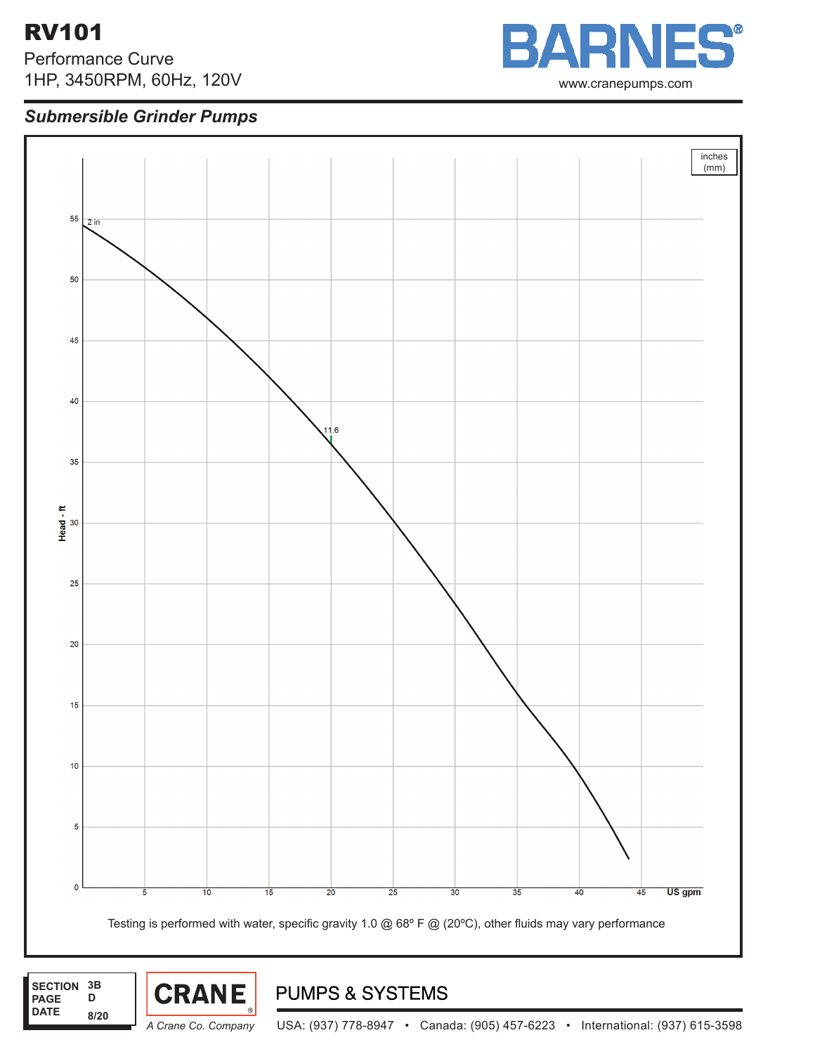# RV101

 **PAGE DATE**

**D**

**8/20**

Performance Curve 1HP, 3450RPM, 60Hz, 120V

## *Submersible Grinder Pumps*





 $\blacksquare$   $\blacksquare$   $\blacksquare$ S tatic Head: 0 ft

*A Crane Co. Company* USA: (937) 778-8947 • Canada: (905) 457-6223 • International: (937) 615-3598